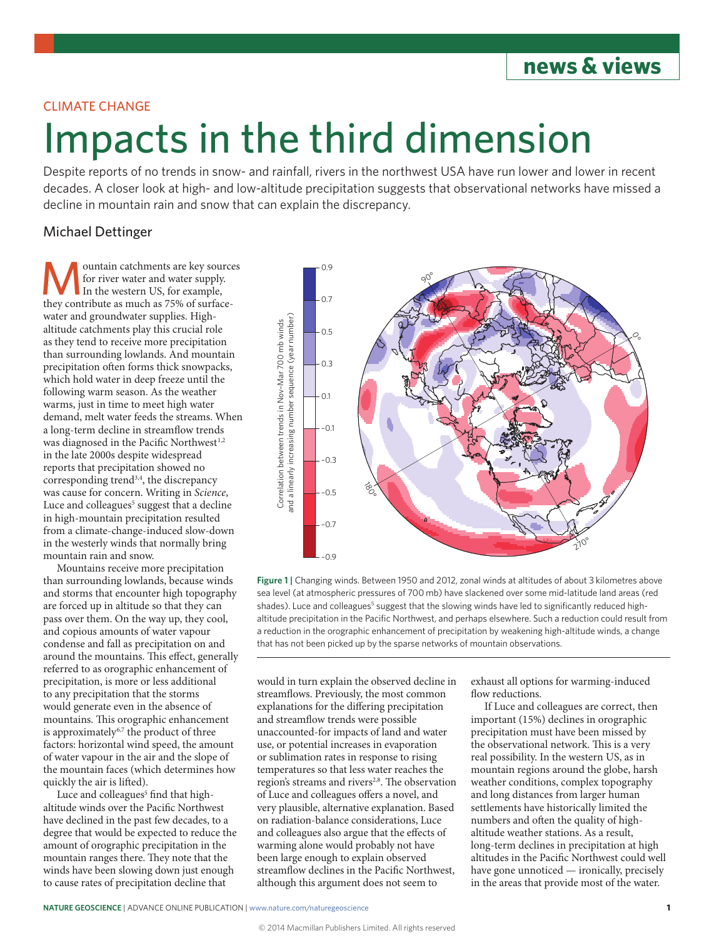## **news & views**

### CLIMATE CHANGE

# Impacts in the third dimension

Despite reports of no trends in snow- and rainfall, rivers in the northwest USA have run lower and lower in recent decades. A closer look at high- and low-altitude precipitation suggests that observational networks have missed a decline in mountain rain and snow that can explain the discrepancy.

### Michael Dettinger

ountain catchments are key sources for river water and water supply. In the western US, for example, they contribute as much as 75% of surfacewater and groundwater supplies. Highaltitude catchments play this crucial role as they tend to receive more precipitation than surrounding lowlands. And mountain precipitation often forms thick snowpacks, which hold water in deep freeze until the following warm season. As the weather warms, just in time to meet high water demand, melt water feeds the streams. When a long-term decline in streamflow trends was diagnosed in the Pacific Northwest<sup>1,2</sup> in the late 2000s despite widespread reports that precipitation showed no corresponding trend<sup>3,4</sup>, the discrepancy was cause for concern. Writing in *Science*, Luce and colleagues<sup>5</sup> suggest that a decline in high-mountain precipitation resulted from a climate-change-induced slow-down in the westerly winds that normally bring mountain rain and snow.

Mountains receive more precipitation than surrounding lowlands, because winds and storms that encounter high topography are forced up in altitude so that they can pass over them. On the way up, they cool, and copious amounts of water vapour condense and fall as precipitation on and around the mountains. This effect, generally referred to as orographic enhancement of precipitation, is more or less additional to any precipitation that the storms would generate even in the absence of mountains. This orographic enhancement is approximately<sup>6,7</sup> the product of three factors: horizontal wind speed, the amount of water vapour in the air and the slope of the mountain faces (which determines how quickly the air is lifted).

Luce and colleagues<sup>5</sup> find that highaltitude winds over the Pacific Northwest have declined in the past few decades, to a degree that would be expected to reduce the amount of orographic precipitation in the mountain ranges there. They note that the winds have been slowing down just enough to cause rates of precipitation decline that



**Figure 1 |** Changing winds. Between 1950 and 2012, zonal winds at altitudes of about 3 kilometres above sea level (at atmospheric pressures of 700 mb) have slackened over some mid-latitude land areas (red shades). Luce and colleagues<sup>5</sup> suggest that the slowing winds have led to significantly reduced highaltitude precipitation in the Pacific Northwest, and perhaps elsewhere. Such a reduction could result from a reduction in the orographic enhancement of precipitation by weakening high-altitude winds, a change that has not been picked up by the sparse networks of mountain observations.

would in turn explain the observed decline in streamflows. Previously, the most common explanations for the differing precipitation and streamflow trends were possible unaccounted-for impacts of land and water use, or potential increases in evaporation or sublimation rates in response to rising temperatures so that less water reaches the region's streams and rivers<sup>2,8</sup>. The observation of Luce and colleagues offers a novel, and very plausible, alternative explanation. Based on radiation-balance considerations, Luce and colleagues also argue that the effects of warming alone would probably not have been large enough to explain observed streamflow declines in the Pacific Northwest, although this argument does not seem to

exhaust all options for warming-induced flow reductions.

If Luce and colleagues are correct, then important (15%) declines in orographic precipitation must have been missed by the observational network. This is a very real possibility. In the western US, as in mountain regions around the globe, harsh weather conditions, complex topography and long distances from larger human settlements have historically limited the numbers and often the quality of highaltitude weather stations. As a result, long-term declines in precipitation at high altitudes in the Pacific Northwest could well have gone unnoticed — ironically, precisely in the areas that provide most of the water.